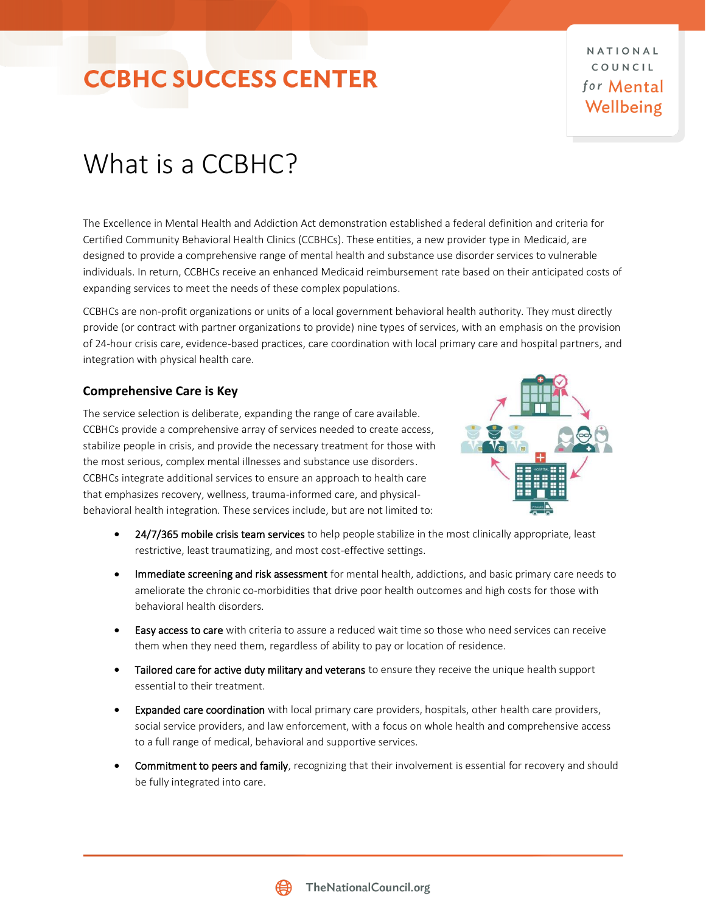### **CCBHC SUCCESS CENTER**

NATIONAL COUNCIL for Mental Wellbeing

### What is a CCBHC?

The Excellence in Mental Health and Addiction Act demonstration established a federal definition and criteria for Certified Community Behavioral Health Clinics (CCBHCs). These entities, a new provider type in Medicaid, are designed to provide a comprehensive range of mental health and substance use disorder services to vulnerable individuals. In return, CCBHCs receive an enhanced Medicaid reimbursement rate based on their anticipated costs of expanding services to meet the needs of these complex populations.

CCBHCs are non-profit organizations or units of a local government behavioral health authority. They must directly provide (or contract with partner organizations to provide) nine types of services, with an emphasis on the provision of 24-hour crisis care, evidence-based practices, care coordination with local primary care and hospital partners, and integration with physical health care.

#### **Comprehensive Care is Key**

The service selection is deliberate, expanding the range of care available. CCBHCs provide a comprehensive array of services needed to create access, stabilize people in crisis, and provide the necessary treatment for those with the most serious, complex mental illnesses and substance use disorders. CCBHCs integrate additional services to ensure an approach to health care that emphasizes recovery, wellness, trauma-informed care, and physicalbehavioral health integration. These services include, but are not limited to:



- 24/7/365 mobile crisis team services to help people stabilize in the most clinically appropriate, least restrictive, least traumatizing, and most cost-effective settings.
- **Immediate screening and risk assessment** for mental health, addictions, and basic primary care needs to ameliorate the chronic co-morbidities that drive poor health outcomes and high costs for those with behavioral health disorders.
- Easy access to care with criteria to assure a reduced wait time so those who need services can receive them when they need them, regardless of ability to pay or location of residence.
- Tailored care for active duty military and veterans to ensure they receive the unique health support essential to their treatment.
- Expanded care coordination with local primary care providers, hospitals, other health care providers, social service providers, and law enforcement, with a focus on whole health and comprehensive access to a full range of medical, behavioral and supportive services.
- Commitment to peers and family, recognizing that their involvement is essential for recovery and should be fully integrated into care.

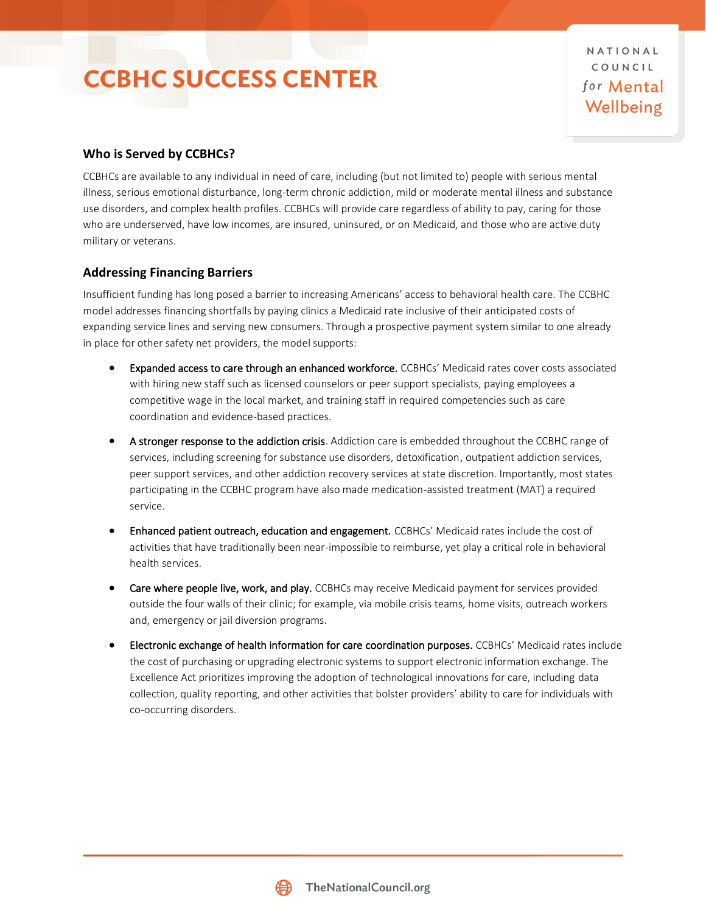## **CCBHC SUCCESS CENTER**

NATIONAL COUNCIL for Mental Wellbeing

#### **Who is Served by CCBHCs?**

CCBHCs are available to any individual in need of care, including (but not limited to) people with serious mental illness, serious emotional disturbance, long-term chronic addiction, mild or moderate mental illness and substance use disorders, and complex health profiles. CCBHCs will provide care regardless of ability to pay, caring for those who are underserved, have low incomes, are insured, uninsured, or on Medicaid, and those who are active duty military or veterans.

#### **Addressing Financing Barriers**

Insufficient funding has long posed a barrier to increasing Americans' access to behavioral health care. The CCBHC model addresses financing shortfalls by paying clinics a Medicaid rate inclusive of their anticipated costs of expanding service lines and serving new consumers. Through a prospective payment system similar to one already in place for other safety net providers, the model supports:

- Expanded access to care through an enhanced workforce. CCBHCs' Medicaid rates cover costs associated with hiring new staff such as licensed counselors or peer support specialists, paying employees a competitive wage in the local market, and training staff in required competencies such as care coordination and evidence-based practices.
- A stronger response to the addiction crisis. Addiction care is embedded throughout the CCBHC range of services, including screening for substance use disorders, detoxification, outpatient addiction services, peer support services, and other addiction recovery services at state discretion. Importantly, most states participating in the CCBHC program have also made medication-assisted treatment (MAT) a required service.
- Enhanced patient outreach, education and engagement. CCBHCs' Medicaid rates include the cost of activities that have traditionally been near-impossible to reimburse, yet play a critical role in behavioral health services.
- Care where people live, work, and play. CCBHCs may receive Medicaid payment for services provided outside the four walls of their clinic; for example, via mobile crisis teams, home visits, outreach workers and, emergency or jail diversion programs.
- Electronic exchange of health information for care coordination purposes. CCBHCs' Medicaid rates include the cost of purchasing or upgrading electronic systems to support electronic information exchange. The Excellence Act prioritizes improving the adoption of technological innovations for care, including data collection, quality reporting, and other activities that bolster providers' ability to care for individuals with co-occurring disorders.